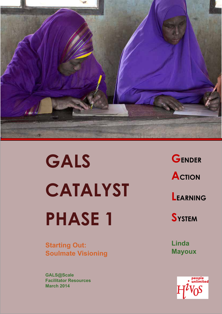

**GALS CATALYST PHASE 1** 

**Starting Out: Soulmate Visioning**

**GALS@Scale Facilitator Resources March 2014**

**GENDER ACTION LEARNING** 

**SYSTEM**

**Linda Mayoux**

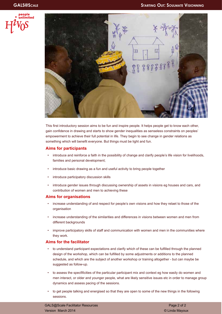



This first introductory session aims to be fun and inspire people. It helps people get to know each other, gain confidence in drawing and starts to show gender inequalities as senseless constraints on peoples' empowerment to achieve their full potential in life. They begin to see change in gender relations as something which will benefit everyone. But things must be light and fun.

### **Aims for participants**

- introduce and reinforce a faith in the possibility of change and clarify people's life vision for livelihoods, families and personal development;
- introduce basic drawing as a fun and useful activity to bring people together
- introduce participatory discussion skills
- introduce gender issues through discussing ownership of assets in visions eg houses and cars, and contribution of women and men to achieving these

### **Aims for organisations**

- increase understanding of and respect for people's own visions and how they relaet to those of the organisation
- increase understanding of the similarities and differences in visions between women and men from different backgrounds
- improve participatory skills of staff and communication with women and men in the communities where they work.

### **Aims for the facilitator**

- to understand participant expectations and clarify which of these can be fulfilled through the planned design of the workshop, which can be fulfilled by some adjustments or additions to the planned schedule, and which are the subject of another workshop or training altogether - but can maybe be suggested as follow-up.
- to assess the specfificities of the particular participant mix and context eg how easily do women and men interact, or older and younger people, what are likely sensitive issues etc in order to manage group dynamics and assess pacing of the sessions.
- to get people talking and energised so that they are open to some of the new things in the following sessions.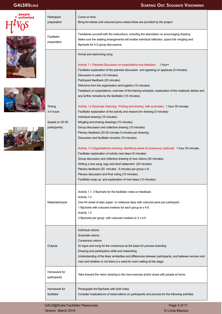|  | Participant<br>preparation   | Come on time<br>Bring A4 diaries and coloured pens unless these are provided by the project                                                    |
|--|------------------------------|------------------------------------------------------------------------------------------------------------------------------------------------|
|  |                              | Familiarise yourself with the instructions, including the description on encouraging drawing                                                   |
|  | Facilitator                  | Make sure the seating arrangements will enable individual reflection, space folr mingling and                                                  |
|  | preparation                  | flipcharts for 4-5 group discussions.                                                                                                          |
|  |                              | Arrival and welcoming song                                                                                                                     |
|  |                              | Activity 1.1 Pairwise Discussion on expectations and feebdack 1 hour+                                                                          |
|  |                              | Facilitator explanation of the pairwise discussion and agreeing on applause (5 minutes)                                                        |
|  |                              | Discussion in pairs (15 minutes)                                                                                                               |
|  |                              | Participant feedback (20 minutes)                                                                                                              |
|  |                              | Welcome from the organisation and logistics (10 minutes)                                                                                       |
|  |                              | Feedback on expectations, overview of the training schedule, explanation of the notebook diaries and                                           |
|  |                              | any further remarks by the facilitatior (15 minutes)                                                                                           |
|  | Timing                       | Activity 1.2 Soulmate Visioning : Finding and sharing with soulmates 1 hour 30 minutes                                                         |
|  | 3-4 hours                    | Facilitator explanation of the activity and resaons for drawing (5 minutes)                                                                    |
|  |                              | Individual drawing (15 minutes)                                                                                                                |
|  | (based on $20-30$            | Mingling and sharing drawings (15 minutes)                                                                                                     |
|  | participants)                | Group discussion and collective drawing (15 minutes)                                                                                           |
|  |                              | Plenary feedback (20-25 minutes 5 minutes per drawing)                                                                                         |
|  |                              | Discussion and facilitator remarks (10 minutes)                                                                                                |
|  |                              | Activity 1.3 Organisational visioning: Identifying areas of consensus (optional) 1 hour 30 minutes                                             |
|  |                              | Facilitator explanation of activity next steps (5 minutes)                                                                                     |
|  |                              | Group discussion and collective drawing of new visions (20 minutes).                                                                           |
|  |                              | Writing a new song, logo and short statement (20 minutes)                                                                                      |
|  |                              | Plenary feedback (20 minutes - 5 minutes per group x 4)                                                                                        |
|  |                              | Plenary discussion and final voting (15 minutes)                                                                                               |
|  |                              | Facilitator wrap up and explanation of next steps (10 minutes).                                                                                |
|  |                              | Activity 1.1: 3 flipcharts for the facilitator notes on feedback                                                                               |
|  |                              | Activity 1.2                                                                                                                                   |
|  | Materials/inputs             | One A4 sheet of plain paper or notebook diary with coloured pens per participant.                                                              |
|  |                              | 1 flipcharts with coloured markers for each group ie x 4-5.                                                                                    |
|  |                              | Activity 1.3                                                                                                                                   |
|  |                              | 3 flipcharts per group with coloured markers ie 3 x 4-5                                                                                        |
|  |                              | Individual visions                                                                                                                             |
|  |                              | Soulmate visions                                                                                                                               |
|  |                              | Consensus visions                                                                                                                              |
|  | Outputs                      | 4x logos and song for the consensus as the basis for process branding                                                                          |
|  |                              | Drawing and participatory skills and networking                                                                                                |
|  |                              | Understanding of the likely similarities and differences between participants, and between women and                                           |
|  |                              | men and whether or not there is a need for norm setting at this stage.                                                                         |
|  | Homework for<br>participants | Take forward the vision drawing to the next exercsie and/or share with people at home                                                          |
|  |                              |                                                                                                                                                |
|  | Homework for<br>facilitator  | Photograph the flipcharts with brief notes<br>Consider implicationns of observations on participants and process for the following activities. |
|  |                              |                                                                                                                                                |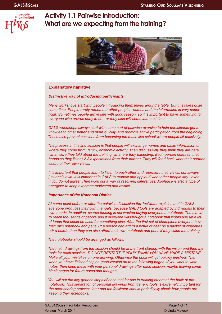

# **Activity 1.1 Pairwise introduction: What are we expecting from the training?**



### **Explanatory narrative**

### *Distinctive way of introducing participants*

*Many workshops start with people introducing themselves around a table. But this takes quite some time. People rarely remember other peoples' names and the information is very superficial. Sometimes people arrive late with good reason, so it is important to have something for everyone who arrives early to do - or they also will come late next time.*

*GALS workshops always start with some sort of pairwise exercise to help participants get to know each other better and more quickly, and promote active participation from the beginning. These also prevent sessions from becoming too much like school where people sit passively.* 

*The process in this first session is that people will exchange names and basic information on where they come from, family, economic activity. Then discuss why they think they are here - what were they told about the training, what are they expecting. Each person notes (in their heads so they listen) 2-3 expectations from their partner. They will feed back what their partner said, not their own views.*

*It is important that people learn to listen to each other and represent their views, not always just one's own. It is important in GALS to respect and applaud what other people say - even if you do not agree. Then work out a way of resolving differences. Applause is also a type of energiser to keep everyone motivated and awake.*

### *Importance of the Notebook Diaries*

*At some point before or after the pairwise discussion the facilitator explains that in GALS everyone produces their own manuals, because GALS tools are adapted by individuals to their own needs. In addition, scarce funding is not wasted buying everyone a notebook. The aim is to reach thousands of people and if everyone was bought a notebook that would use up a lot of funds that could be used for something else. After the first set of champions everyone buys their own notebook and pens - if a person can afford a bottle of beer os a packet of cigarettes odr a hairdo then they can also afford their own notebook and pens if they value the training.* 

*The notebooks should be arranged as follows:*

*The main drawings from the session should be at the front starting with the vision and then the tools for each session.. DO NOT RESTART IF YOUY THINK YOU HAVE MADE A MISTAKE. Make all your mistakes on one drawing. Otherwise the book will get quickly finished. Then when you have finished copy a good version on to the following pages. If you want to write notes, then keep these with your personal drawings after each session, maybe leaving some blank pages for future notes and thoughts.*

*You will put the key generic steps of each tool for use in training others at the back of the notebook. This separation of personal drawings from generic tools is extremely important for the peer sharing proicess later and the facilitator should periodically check how people are keeping their notebooks.*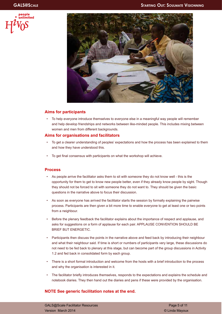



### **Aims for participants**

• To help everyone introduce themselves to everyone else in a meaningful way people will remember and help develop friendships and networks between like-minded people. This includes mixing between women and men from different backgrounds.

### **Aims for organisations and facilitators**

- To get a clearer understanding of peoples' expectations and how the process has been explained to them and how they have understood this.
- To get final consensus with participants on what the workshop will achieve.

### **Process**

- As people arrive the facilitator asks them to sit with someone they do not know well this is the opportunity for them to get to know new people better, even if they already know people by sight. Though they should not be forced to sit with someone they do not want to. They should be given the basic questions in the narrative above to focus their discussion.
- As soon as everyone has arrived the facilitator starts the session by formally explaining the pairwise process. Participants are then given a bit more time to enable everyone to get at least one or two points from a neighbour.
- Before the plenary feedback the facilitator explains about the importance of respect and applause, and asks for suggestions on a form of applause for each pair. APPLAUSE CONVENTION SHOULD BE BRIEF BUT ENERGETIC.
- Participants then discuss the points in the narrative above and feed back by introducing their neighbour and what their neighbour said. If time is short or numbers of participants very large, these discussions do not need to be fed back to plenary at this stage, but can become part of the group discussions in Activity 1.2 and fed back in consolidated form by each group.
- There is a short formal introduction and welcome from the hosts with a brief introduction to the process and why the organisation is interested in it.
- The facilitator briefly introduces themselves, responds to the expectations and explains the schedule and notebook diaries. They then hand out the diaries and pens if these were provided by the organisation.

### **NOTE See generic facilitation notes at the end.**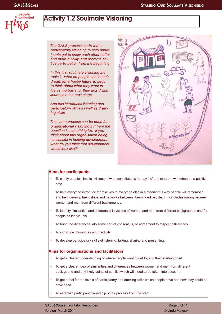

# **Activity 1.2 Soulmate Visioning**

*The GALS process starts with a participatory visioning to help participants get to know each other better and more quickly, and promote active participation from the beginning.* 

*In this first soulmate visioning the topic is 'what do people see in their dream for a happy future' to begin to think about what they want in life as the basis for their first Vision Journey in the next stage.* 

*And this introduces listening and participatory skills as well as drawing skills.*

*The same process can be done for organisational visioning but here the question is something like 'if you think about this organisation being successful in helping development, what do you think that development would look like?'*



### **Aims for participants**

- To clarify people's implicit visions of what constitutes a 'happy life' and start the workshop on a positive note.
- To help everyone introduce themselves to everyone else in a meaningful way people will remember and help develop friendships and networks between like-minded people. This includes mixing between women and men from different backgrounds.
- To identify similarities and differences in visions of women and men from different backgrounds and for people as individuals.
- To bring the differences into some sort of consensus, or agreement to respect differences.
- To introduce drawing as a fun activity.
- To develop participatory skills of listening, talking, sharing and presenting.

### **Aims for organisations and facilitators**

- To get a clearer understanding of where people want to get to, and their starting point
- To get a clearer idea of similarities and differences between women and men from different backrgound and any likely points of conflict which will need to be taken into account
- To get a feel for the levels of participatory and drawing skills which people have and how they could be developed
- To establish participant ownership of the process from the start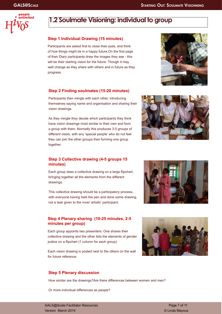



# **1.2 Soulmate Visioning: individual to group**

### **Step 1 Individual Drawing (15 minutes)**

Participants are asked first to close their eyes, and think of how things might be in a happy future.On the first page of their Diary participants draw the images they see - this will be their starting vision for the future. Though it may well change as they share with others and in future as they progress.



## **Step 2 Finding soulmates (15-20 minutes)**

Participants then mingle with each other, introducing themselves saying name and organisation and sharing their vision drawings.

As they mingle they decide which participants they think have vision drawings most similar to their own and form a group with them. Normally this produces 3-5 groups of different views, with any 'special people' who do not feel they can join the other groups then forming one group together.



### **Step 3 Collective drawing (4-5 groups 15 minutes)**

Each group does a collective drawing on a large flipchart, bringing together all the elements from the different drawings.

This collective drawing should be a participatory process, with everyone having held the pen and done some drawing, not a task given to the most 'artistic' participant.

### **Step 4 Plenary sharing (10-25 minutes, 2-5 minutes per group)**

Each group appoints two presenters. One shares their collective drawing and the other lists the elements of gender justice on a flipchart (1 column for each group).

Each vision drawing is posted next to the others on the wall for future reference.

# **Step 5 Plenary discussion**

How similar are the drawings?Are there differences between women and men?

Or more individual differences as people?



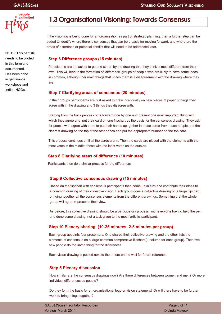

NOTE: This part still needs to be piloted in this form and documented. Has been done in genfinance workshops and Indian NGOs.

# **1.3 Organisational Visioning: Towards Consensus**

If the visioning is being done for an organisation as part of strategic planning, then a further step can be added to identify where there is consensus that can be a basis for moving forward, and where are the areas of difference or potential conflict that will need to be addressed later.

## **Step 6 Difference groups (15 minutes)**

Participants are the asked to go and stand by the drawing that they think is most different from their own. This will lead to the formation of 'difference' groups of people who are likely to have some ideas in common, although ther main things that unites them is a disagreement with the drawing where they are.

### **Step 7 Clarifying areas of consensus (20 minutes)**

In their groups parfticipants are first asked to draw indicidually on new pieces of paper 3 things they agree with in the drawing and 3 things they disagree with.

Starting from the back people come forward one by one and present one most important thing with which they agree and put their card on one flipchart as the basis for the consensus drawing. They ask for people who agree with them to put their hands up, gather in those cards from those people, put the clearest drawing on the top of the other ones and put the appropriate number on the top card.

This process continues until all the cards are in. Then the cards are placed with the elements with the most votes in the middle, those with the least votes on the outside.

# **Step 8 Clarifying areas of difference (10 minutes)**

Participants then do a similar process for the differences.

# **Step 9 Collective consensus drawing (15 minutes)**

Based on the flipchart with consensus participants then come up in turn and contribute their ideas to a common drawing of their collective vision. Each group does a collective drawing on a large flipchart, bringing together all the consensus elements from the different drawings. Something that the whole group will agree represents their view.

As before, this collective drawing should be a participatory process, with everyone having held the pen and done some drawing, not a task given to the most 'artistic' participant.

# **Step 10 Plenary sharing (10-25 minutes, 2-5 minutes per group)**

Each group appoints four presenters. One shares their collective drawing and the other lists the elements of consensus on a large common comparative flipchart (1 column for each group). Then two new people do the same thing for the differences.

Each vision drawing is posted next to the others on the wall for future reference.

# **Step 5 Plenary discussion**

How similar are the consensus drawings now? Are there differences between women and men? Or more individual differences as people?

Do they form the basis for an organisational logo or vision statement? Or will there have to be further work to bring things together?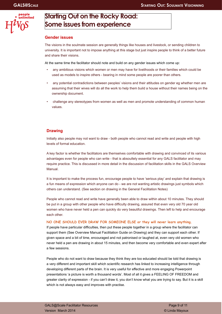

# **Starting Out on the Rocky Road: Some issues from experience**

### **Gender issues**

The visions in the soulmate session are generally things like houses and livestock, or sending children to university. It is important not to impose anything at this stage but just inspire people to think of a better future and share their visions.

At the same time the facilitator should note and build on any gender issues which come up:

- any ambitious visions which women or men may have for livelihoods or their families which could be used as models to inspire others - bearing in mind some people are poorer than others.
- any potential contradictions between peoples' visions and their attitudes on gender eg whether men are assuming that their wives will do all the work to help them build a house without their names being on the ownership document.
- challenge any stereotypes from women as well as men and promote understanding of common human values.

### **Drawing**

Initially also people may not want to draw - both people who cannot read and write and people with high levels of formal education.

A key factor is whether the facilitators are themselves comfortable with drawing and convinced of its various advantages even for people who can write - that is absoultely essential for any GALS facilitator and may require practice. This is discussed in more detail in the discussion of facilitation skills in the GALS Overview Manual.

It is important to make the process fun, encourage people to have 'serious play' and explain that drawing is a fun means of expression which anyone can do - we are not wanting artistic drawings just symbols which others can understand. (See section on drawing in the General Facilitation Notes)

People who cannot read and write have generally been able to draw within about 10 minutes. They should be put in a group with other people who have difficulty drawing, assured that even very old 70 year old women who have never held a pen can quickly do very beautiful drawings. Then left to help and encourage each other.

#### **NO ONE SHOULD EVER DRAW FOR SOMEONE ELSE or they will never learn anything.**

If people have particular difficulties, then put these people together in a group where the facilitator can support them (See Overview Manual Facilitation Guide on Drawing) and they can support each other. If given space and a bit of time, encouraged and not patronised or laughed at, even very old women who never held a pen are drawing in about 15 minutes, and then become very comfortable and even expert after a few sessions.

People who do not want to draw because they think they are too educated should be told that drawing is a very different and important skill which scientific research has linked to increasing intelligence through developing different parts of the brain. It is very useful for effective and more engaging Powerpoint presentations 'a picture is worth a thousand words'. Most of all it gives a FEELING OF FREEDOM and greater clarity of expression - if you can't draw it, you don't know what you are trying to say. But it is a skill which is not always easy and improves with practise.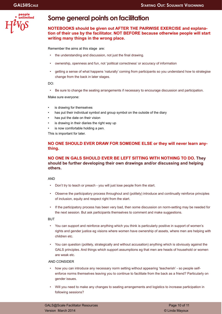

# **Some general points on facilitation**

### **NOTEBOOKS should be given out AFTER THE PAIRWISE EXERCISE and explanation of their use by the facilitator. NOT BEFORE because otherwise people will start writing many things in the wrong place.**

Remember the aims at this stage are:

- the understanding and discussion, not just the final drawing.
- ownership, openness and fun, not 'political correctness' or accuracy of information
- getting a sense of what happens 'naturally' coming from participants so you understand how to strategise change from the back in later stages.

DO:

• Be sure to change the seating arrangements if necessary to encourage discussion and participation.

Make sure everyone:

- is drawing for themselves
- has put their individual symbol and group symbol on the outside of the diary
- has put the date on their vision
- is drawing in their diaries the right way up
- is now comfortable holding a pen.

This is important for later.

## **NO ONE SHOULD EVER DRAW FOR SOMEONE ELSE or they will never learn anything.**

### **NO ONE IN GALS SHOULD EVER BE LEFT SITTING WITH NOTHING TO DO. They should be further developing their own drawings and/or discussing and helping others.**

AND

- Don't try to teach or preach you will just lose people from the start.
- Observe the participatory process throughout and (politely) introduce and continually reinforce principles of inclusion, equity and respect right from the start.
- If the participatory process has been very bad, then some discussion on norm-setting may be needed for the next session. But ask participants themselves to comment and make suggestions.

**BUT** 

- You can support and reinforce anything which you think is particularly positive in support of women's rights and gender justice eg visions where women have ownership of assets, where men are helping with children etc.
- You can question (politely, strategically and without accusation) anything which is obviously against the GALS principles. And things which support assumptions eg that men are heads of household or women are weak etc.

#### AND CONSIDER

- how you can introduce any necessary norm setting without appearing 'teacherish' so people selfenforce norms themselves leaving you to continue to facilitate from the back as a friend? Particularly on gender issues.
- Will you need to make any changes to seating arrangements and logistics to increase participation in following sessions?